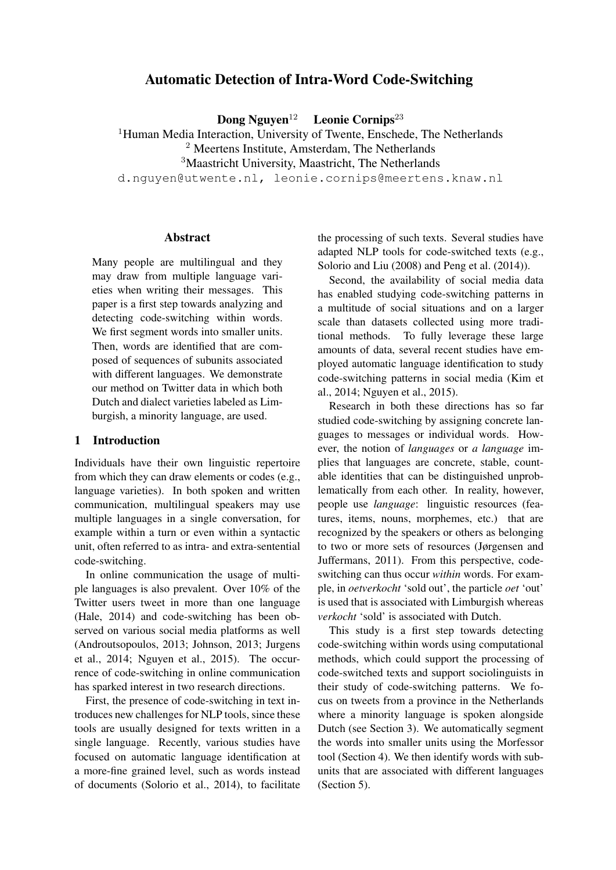# Automatic Detection of Intra-Word Code-Switching

Dong Nguyen<sup>12</sup> Leonie Cornips<sup>23</sup>

<sup>1</sup>Human Media Interaction, University of Twente, Enschede, The Netherlands <sup>2</sup> Meertens Institute, Amsterdam, The Netherlands <sup>3</sup>Maastricht University, Maastricht, The Netherlands d.nguyen@utwente.nl, leonie.cornips@meertens.knaw.nl

### Abstract

Many people are multilingual and they may draw from multiple language varieties when writing their messages. This paper is a first step towards analyzing and detecting code-switching within words. We first segment words into smaller units. Then, words are identified that are composed of sequences of subunits associated with different languages. We demonstrate our method on Twitter data in which both Dutch and dialect varieties labeled as Limburgish, a minority language, are used.

### 1 Introduction

Individuals have their own linguistic repertoire from which they can draw elements or codes (e.g., language varieties). In both spoken and written communication, multilingual speakers may use multiple languages in a single conversation, for example within a turn or even within a syntactic unit, often referred to as intra- and extra-sentential code-switching.

In online communication the usage of multiple languages is also prevalent. Over 10% of the Twitter users tweet in more than one language (Hale, 2014) and code-switching has been observed on various social media platforms as well (Androutsopoulos, 2013; Johnson, 2013; Jurgens et al., 2014; Nguyen et al., 2015). The occurrence of code-switching in online communication has sparked interest in two research directions.

First, the presence of code-switching in text introduces new challenges for NLP tools, since these tools are usually designed for texts written in a single language. Recently, various studies have focused on automatic language identification at a more-fine grained level, such as words instead of documents (Solorio et al., 2014), to facilitate the processing of such texts. Several studies have adapted NLP tools for code-switched texts (e.g., Solorio and Liu (2008) and Peng et al. (2014)).

Second, the availability of social media data has enabled studying code-switching patterns in a multitude of social situations and on a larger scale than datasets collected using more traditional methods. To fully leverage these large amounts of data, several recent studies have employed automatic language identification to study code-switching patterns in social media (Kim et al., 2014; Nguyen et al., 2015).

Research in both these directions has so far studied code-switching by assigning concrete languages to messages or individual words. However, the notion of *languages* or *a language* implies that languages are concrete, stable, countable identities that can be distinguished unproblematically from each other. In reality, however, people use *language*: linguistic resources (features, items, nouns, morphemes, etc.) that are recognized by the speakers or others as belonging to two or more sets of resources (Jørgensen and Juffermans, 2011). From this perspective, codeswitching can thus occur *within* words. For example, in *oetverkocht* 'sold out', the particle *oet* 'out' is used that is associated with Limburgish whereas *verkocht* 'sold' is associated with Dutch.

This study is a first step towards detecting code-switching within words using computational methods, which could support the processing of code-switched texts and support sociolinguists in their study of code-switching patterns. We focus on tweets from a province in the Netherlands where a minority language is spoken alongside Dutch (see Section 3). We automatically segment the words into smaller units using the Morfessor tool (Section 4). We then identify words with subunits that are associated with different languages (Section 5).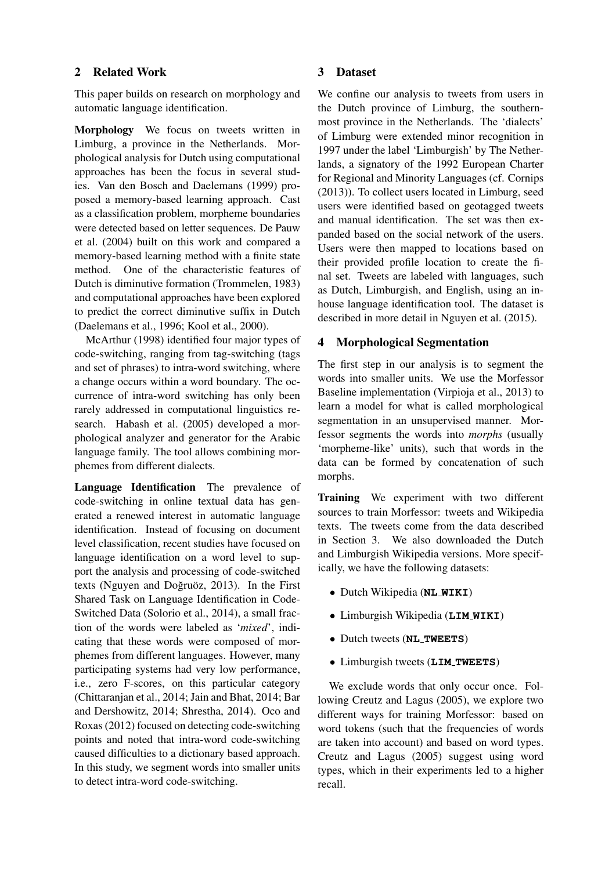## 2 Related Work

This paper builds on research on morphology and automatic language identification.

Morphology We focus on tweets written in Limburg, a province in the Netherlands. Morphological analysis for Dutch using computational approaches has been the focus in several studies. Van den Bosch and Daelemans (1999) proposed a memory-based learning approach. Cast as a classification problem, morpheme boundaries were detected based on letter sequences. De Pauw et al. (2004) built on this work and compared a memory-based learning method with a finite state method. One of the characteristic features of Dutch is diminutive formation (Trommelen, 1983) and computational approaches have been explored to predict the correct diminutive suffix in Dutch (Daelemans et al., 1996; Kool et al., 2000).

McArthur (1998) identified four major types of code-switching, ranging from tag-switching (tags and set of phrases) to intra-word switching, where a change occurs within a word boundary. The occurrence of intra-word switching has only been rarely addressed in computational linguistics research. Habash et al. (2005) developed a morphological analyzer and generator for the Arabic language family. The tool allows combining morphemes from different dialects.

Language Identification The prevalence of code-switching in online textual data has generated a renewed interest in automatic language identification. Instead of focusing on document level classification, recent studies have focused on language identification on a word level to support the analysis and processing of code-switched texts (Nguyen and Doğruöz, 2013). In the First Shared Task on Language Identification in Code-Switched Data (Solorio et al., 2014), a small fraction of the words were labeled as '*mixed*', indicating that these words were composed of morphemes from different languages. However, many participating systems had very low performance, i.e., zero F-scores, on this particular category (Chittaranjan et al., 2014; Jain and Bhat, 2014; Bar and Dershowitz, 2014; Shrestha, 2014). Oco and Roxas (2012) focused on detecting code-switching points and noted that intra-word code-switching caused difficulties to a dictionary based approach. In this study, we segment words into smaller units to detect intra-word code-switching.

### 3 Dataset

We confine our analysis to tweets from users in the Dutch province of Limburg, the southernmost province in the Netherlands. The 'dialects' of Limburg were extended minor recognition in 1997 under the label 'Limburgish' by The Netherlands, a signatory of the 1992 European Charter for Regional and Minority Languages (cf. Cornips (2013)). To collect users located in Limburg, seed users were identified based on geotagged tweets and manual identification. The set was then expanded based on the social network of the users. Users were then mapped to locations based on their provided profile location to create the final set. Tweets are labeled with languages, such as Dutch, Limburgish, and English, using an inhouse language identification tool. The dataset is described in more detail in Nguyen et al. (2015).

# 4 Morphological Segmentation

The first step in our analysis is to segment the words into smaller units. We use the Morfessor Baseline implementation (Virpioja et al., 2013) to learn a model for what is called morphological segmentation in an unsupervised manner. Morfessor segments the words into *morphs* (usually 'morpheme-like' units), such that words in the data can be formed by concatenation of such morphs.

Training We experiment with two different sources to train Morfessor: tweets and Wikipedia texts. The tweets come from the data described in Section 3. We also downloaded the Dutch and Limburgish Wikipedia versions. More specifically, we have the following datasets:

- Dutch Wikipedia (**NL WIKI**)
- Limburgish Wikipedia (**LIM WIKI**)
- Dutch tweets (**NL TWEETS**)
- Limburgish tweets (**LIM TWEETS**)

We exclude words that only occur once. Following Creutz and Lagus (2005), we explore two different ways for training Morfessor: based on word tokens (such that the frequencies of words are taken into account) and based on word types. Creutz and Lagus (2005) suggest using word types, which in their experiments led to a higher recall.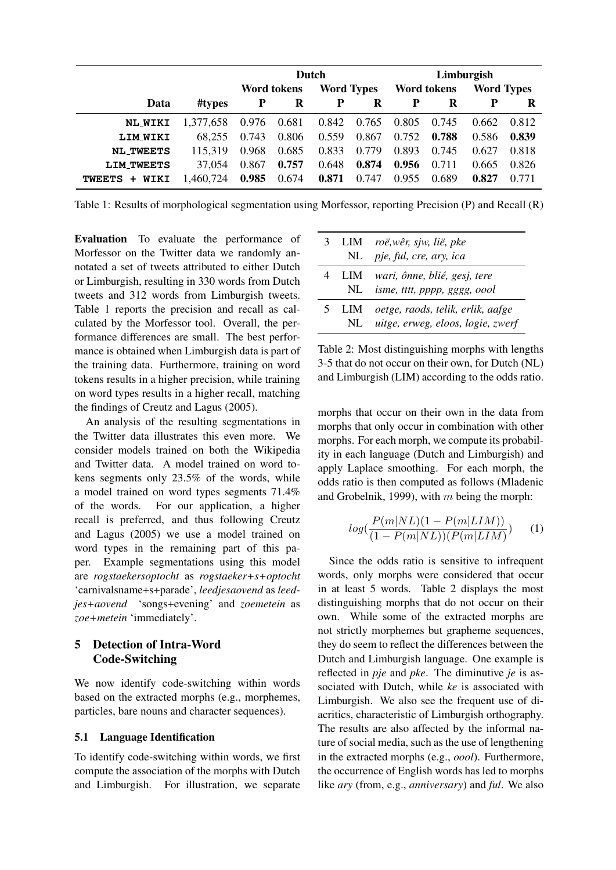|                   |           | Dutch                            |       |       | Limburgish         |       |                   |       |       |
|-------------------|-----------|----------------------------------|-------|-------|--------------------|-------|-------------------|-------|-------|
|                   |           | <b>Word Types</b><br>Word tokens |       |       | <b>Word tokens</b> |       | <b>Word Types</b> |       |       |
| Data              | #types    | $\mathbf{P}$                     | R     | P     | R                  | P     | R                 | P     | R     |
| <b>NL_WIKI</b>    | 1,377,658 | 0.976                            | 0.681 |       | 0.842 0.765        | 0.805 | 0.745             | 0.662 | 0.812 |
| <b>LIM_WIKI</b>   | 68,255    | 0.743                            | 0.806 | 0.559 | 0.867              | 0.752 | 0.788             | 0.586 | 0.839 |
| <b>NL_TWEETS</b>  | 115,319   | 0.968                            | 0.685 | 0.833 | 0.779              | 0.893 | 0.745             | 0.627 | 0.818 |
| <b>LIM TWEETS</b> | 37,054    | 0.867                            | 0.757 | 0.648 | 0.874              | 0.956 | 0.711             | 0.665 | 0.826 |
| WIKI<br>TWEETS +  | 1,460,724 | 0.985                            | 0.674 | 0.871 | 0.747              | 0.955 | 0.689             | 0.827 | 0.771 |

Table 1: Results of morphological segmentation using Morfessor, reporting Precision (P) and Recall (R)

Evaluation To evaluate the performance of Morfessor on the Twitter data we randomly annotated a set of tweets attributed to either Dutch or Limburgish, resulting in 330 words from Dutch tweets and 312 words from Limburgish tweets. Table 1 reports the precision and recall as calculated by the Morfessor tool. Overall, the performance differences are small. The best performance is obtained when Limburgish data is part of the training data. Furthermore, training on word tokens results in a higher precision, while training on word types results in a higher recall, matching the findings of Creutz and Lagus (2005).

An analysis of the resulting segmentations in the Twitter data illustrates this even more. We consider models trained on both the Wikipedia and Twitter data. A model trained on word tokens segments only 23.5% of the words, while a model trained on word types segments 71.4% of the words. For our application, a higher recall is preferred, and thus following Creutz and Lagus (2005) we use a model trained on word types in the remaining part of this paper. Example segmentations using this model are *rogstaekersoptocht* as *rogstaeker+s+optocht* 'carnivalsname+s+parade', *leedjesaovend* as *leedjes+aovend* 'songs+evening' and *zoemetein* as *zoe+metein* 'immediately'.

# 5 Detection of Intra-Word Code-Switching

We now identify code-switching within words based on the extracted morphs (e.g., morphemes, particles, bare nouns and character sequences).

### 5.1 Language Identification

To identify code-switching within words, we first compute the association of the morphs with Dutch and Limburgish. For illustration, we separate

|  | 3 LIM roë, wêr, sjw, lië, pke           |
|--|-----------------------------------------|
|  | NL pje, ful, cre, ary, ica              |
|  | 4 LIM wari, ônne, blié, gesj, tere      |
|  | NL isme, tttt, pppp, gggg, oool         |
|  | 5 LIM oetge, raods, telik, erlik, aafge |
|  | NL uitge, erweg, eloos, logie, zwerf    |

Table 2: Most distinguishing morphs with lengths 3-5 that do not occur on their own, for Dutch (NL) and Limburgish (LIM) according to the odds ratio.

morphs that occur on their own in the data from morphs that only occur in combination with other morphs. For each morph, we compute its probability in each language (Dutch and Limburgish) and apply Laplace smoothing. For each morph, the odds ratio is then computed as follows (Mladenic and Grobelnik, 1999), with  $m$  being the morph:

$$
log(\frac{P(m|NL)(1 - P(m|LIM))}{(1 - P(m|NL))(P(m|LIM))})
$$
 (1)

Since the odds ratio is sensitive to infrequent words, only morphs were considered that occur in at least 5 words. Table 2 displays the most distinguishing morphs that do not occur on their own. While some of the extracted morphs are not strictly morphemes but grapheme sequences, they do seem to reflect the differences between the Dutch and Limburgish language. One example is reflected in *pje* and *pke*. The diminutive *je* is associated with Dutch, while *ke* is associated with Limburgish. We also see the frequent use of diacritics, characteristic of Limburgish orthography. The results are also affected by the informal nature of social media, such as the use of lengthening in the extracted morphs (e.g., *oool*). Furthermore, the occurrence of English words has led to morphs like *ary* (from, e.g., *anniversary*) and *ful*. We also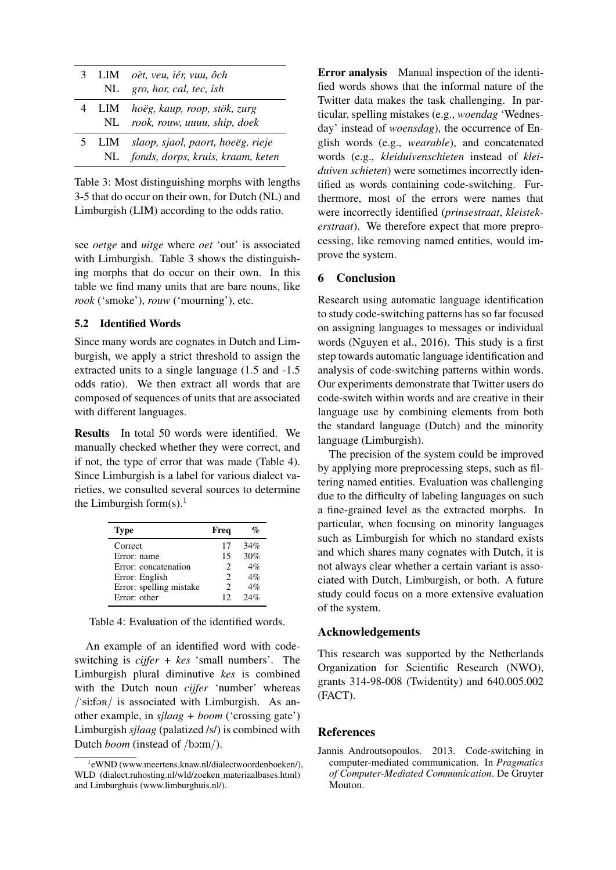|  | 3 LIM oèt, veu, iér, vuu, ôch<br>NL gro, hor, cal, tec, ish                     |
|--|---------------------------------------------------------------------------------|
|  | 4 LIM hoëg, kaup, roop, stök, zurg<br>NL rook, rouw, uuuu, ship, doek           |
|  | 5 LIM slaop, sjaol, paort, hoeëg, rieje<br>NL fonds, dorps, kruis, kraam, keten |

Table 3: Most distinguishing morphs with lengths 3-5 that do occur on their own, for Dutch (NL) and Limburgish (LIM) according to the odds ratio.

see *oetge* and *uitge* where *oet* 'out' is associated with Limburgish. Table 3 shows the distinguishing morphs that do occur on their own. In this table we find many units that are bare nouns, like *rook* ('smoke'), *rouw* ('mourning'), etc.

### 5.2 Identified Words

Since many words are cognates in Dutch and Limburgish, we apply a strict threshold to assign the extracted units to a single language (1.5 and -1.5 odds ratio). We then extract all words that are composed of sequences of units that are associated with different languages.

Results In total 50 words were identified. We manually checked whether they were correct, and if not, the type of error that was made (Table 4). Since Limburgish is a label for various dialect varieties, we consulted several sources to determine the Limburgish form $(s)$ .<sup>1</sup>

| <b>Type</b>             | Freq |     |
|-------------------------|------|-----|
| Correct                 | 17   | 34% |
| Error: name             | 15   | 30% |
| Error: concatenation    | 2    | 4%  |
| Error: English          | 2    | 4%  |
| Error: spelling mistake | 2    | 4%  |
| Error: other            | 12   | 24% |

Table 4: Evaluation of the identified words.

An example of an identified word with codeswitching is *cijfer + kes* 'small numbers'. The Limburgish plural diminutive *kes* is combined with the Dutch noun *cijfer* 'number' whereas  $/\text{Siifər}/$  is associated with Limburgish. As another example, in *sjlaag + boom* ('crossing gate') Limburgish *sjlaag* (palatized /s/) is combined with Dutch *boom* (instead of /bo:m/).

Error analysis Manual inspection of the identified words shows that the informal nature of the Twitter data makes the task challenging. In particular, spelling mistakes (e.g., *woendag* 'Wednesday' instead of *woensdag*), the occurrence of English words (e.g., *wearable*), and concatenated words (e.g., *kleiduivenschieten* instead of *kleiduiven schieten*) were sometimes incorrectly identified as words containing code-switching. Furthermore, most of the errors were names that were incorrectly identified (*prinsestraat*, *kleistekerstraat*). We therefore expect that more preprocessing, like removing named entities, would improve the system.

# 6 Conclusion

Research using automatic language identification to study code-switching patterns has so far focused on assigning languages to messages or individual words (Nguyen et al., 2016). This study is a first step towards automatic language identification and analysis of code-switching patterns within words. Our experiments demonstrate that Twitter users do code-switch within words and are creative in their language use by combining elements from both the standard language (Dutch) and the minority language (Limburgish).

The precision of the system could be improved by applying more preprocessing steps, such as filtering named entities. Evaluation was challenging due to the difficulty of labeling languages on such a fine-grained level as the extracted morphs. In particular, when focusing on minority languages such as Limburgish for which no standard exists and which shares many cognates with Dutch, it is not always clear whether a certain variant is associated with Dutch, Limburgish, or both. A future study could focus on a more extensive evaluation of the system.

### Acknowledgements

This research was supported by the Netherlands Organization for Scientific Research (NWO), grants 314-98-008 (Twidentity) and 640.005.002 (FACT).

### References

Jannis Androutsopoulos. 2013. Code-switching in computer-mediated communication. In *Pragmatics of Computer-Mediated Communication*. De Gruyter Mouton.

<sup>1</sup> eWND (www.meertens.knaw.nl/dialectwoordenboeken/), WLD (dialect.ruhosting.nl/wld/zoeken materiaalbases.html) and Limburghuis (www.limburghuis.nl/).